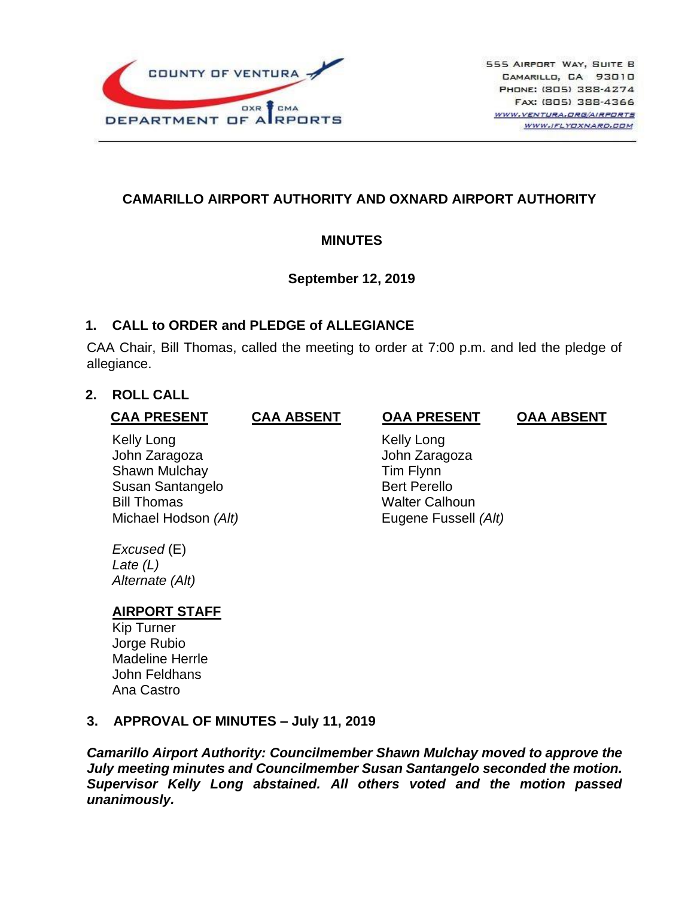

# **CAMARILLO AIRPORT AUTHORITY AND OXNARD AIRPORT AUTHORITY**

## **MINUTES**

## **September 12, 2019**

## **1. CALL to ORDER and PLEDGE of ALLEGIANCE**

CAA Chair, Bill Thomas, called the meeting to order at 7:00 p.m. and led the pledge of allegiance.

## **2. ROLL CALL**

### **CAA PRESENT**

Kelly Long John Zaragoza Shawn Mulchay Susan Santangelo Bill Thomas Michael Hodson *(Alt)*

#### **CAA ABSENT OAA PRESENT**

**OAA ABSENT**

 Kelly Long John Zaragoza Tim Flynn Bert Perello Walter Calhoun Eugene Fussell *(Alt)*

*Excused* (E) *Late (L) Alternate (Alt)*

# **AIRPORT STAFF**

Kip Turner Jorge Rubio Madeline Herrle John Feldhans Ana Castro

# **3. APPROVAL OF MINUTES – July 11, 2019**

*Camarillo Airport Authority: Councilmember Shawn Mulchay moved to approve the July meeting minutes and Councilmember Susan Santangelo seconded the motion. Supervisor Kelly Long abstained. All others voted and the motion passed unanimously.*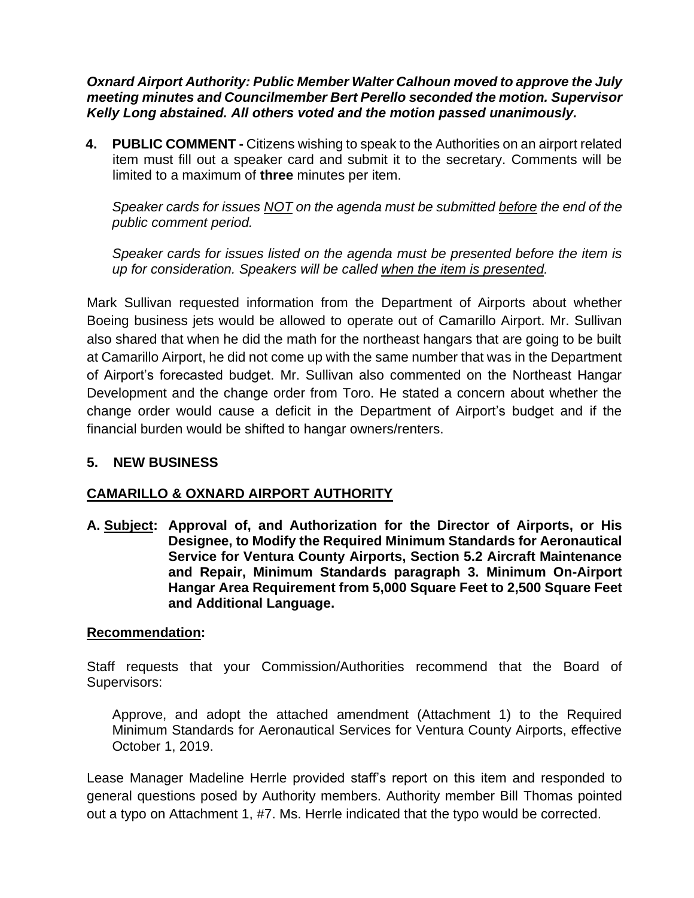*Oxnard Airport Authority: Public Member Walter Calhoun moved to approve the July meeting minutes and Councilmember Bert Perello seconded the motion. Supervisor Kelly Long abstained. All others voted and the motion passed unanimously.*

**4. PUBLIC COMMENT -** Citizens wishing to speak to the Authorities on an airport related item must fill out a speaker card and submit it to the secretary. Comments will be limited to a maximum of **three** minutes per item.

*Speaker cards for issues NOT on the agenda must be submitted before the end of the public comment period.* 

*Speaker cards for issues listed on the agenda must be presented before the item is up for consideration. Speakers will be called when the item is presented.*

Mark Sullivan requested information from the Department of Airports about whether Boeing business jets would be allowed to operate out of Camarillo Airport. Mr. Sullivan also shared that when he did the math for the northeast hangars that are going to be built at Camarillo Airport, he did not come up with the same number that was in the Department of Airport's forecasted budget. Mr. Sullivan also commented on the Northeast Hangar Development and the change order from Toro. He stated a concern about whether the change order would cause a deficit in the Department of Airport's budget and if the financial burden would be shifted to hangar owners/renters.

# **5. NEW BUSINESS**

# **CAMARILLO & OXNARD AIRPORT AUTHORITY**

**A. Subject: Approval of, and Authorization for the Director of Airports, or His Designee, to Modify the Required Minimum Standards for Aeronautical Service for Ventura County Airports, Section 5.2 Aircraft Maintenance and Repair, Minimum Standards paragraph 3. Minimum On-Airport Hangar Area Requirement from 5,000 Square Feet to 2,500 Square Feet and Additional Language.**

# **Recommendation:**

Staff requests that your Commission/Authorities recommend that the Board of Supervisors:

Approve, and adopt the attached amendment (Attachment 1) to the Required Minimum Standards for Aeronautical Services for Ventura County Airports, effective October 1, 2019.

Lease Manager Madeline Herrle provided staff's report on this item and responded to general questions posed by Authority members. Authority member Bill Thomas pointed out a typo on Attachment 1, #7. Ms. Herrle indicated that the typo would be corrected.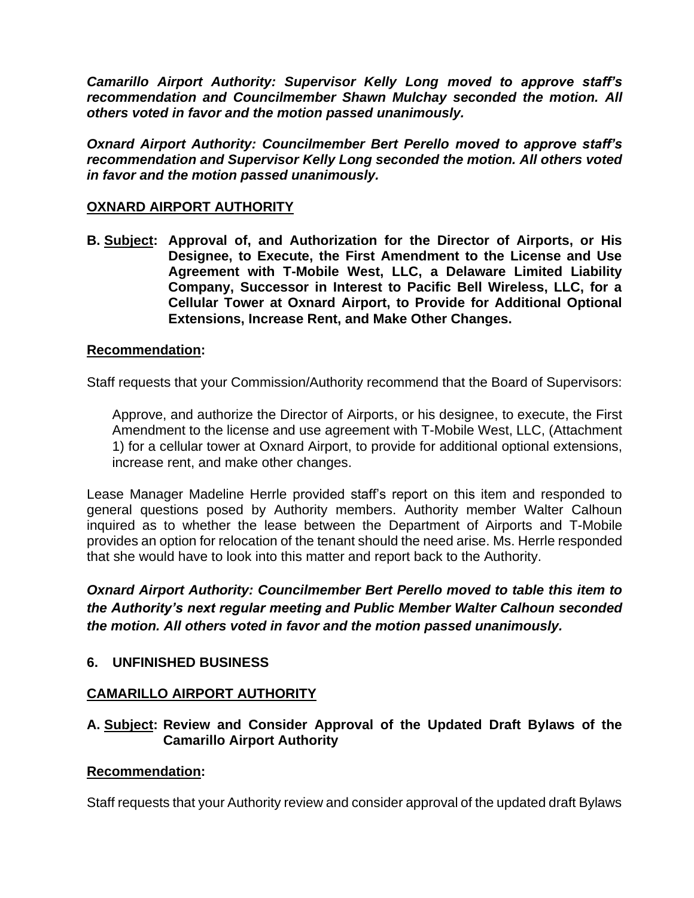*Camarillo Airport Authority: Supervisor Kelly Long moved to approve staff's recommendation and Councilmember Shawn Mulchay seconded the motion. All others voted in favor and the motion passed unanimously.*

*Oxnard Airport Authority: Councilmember Bert Perello moved to approve staff's recommendation and Supervisor Kelly Long seconded the motion. All others voted in favor and the motion passed unanimously.*

#### **OXNARD AIRPORT AUTHORITY**

**B. Subject: Approval of, and Authorization for the Director of Airports, or His Designee, to Execute, the First Amendment to the License and Use Agreement with T-Mobile West, LLC, a Delaware Limited Liability Company, Successor in Interest to Pacific Bell Wireless, LLC, for a Cellular Tower at Oxnard Airport, to Provide for Additional Optional Extensions, Increase Rent, and Make Other Changes.**

#### **Recommendation:**

Staff requests that your Commission/Authority recommend that the Board of Supervisors:

Approve, and authorize the Director of Airports, or his designee, to execute, the First Amendment to the license and use agreement with T-Mobile West, LLC, (Attachment 1) for a cellular tower at Oxnard Airport, to provide for additional optional extensions, increase rent, and make other changes.

Lease Manager Madeline Herrle provided staff's report on this item and responded to general questions posed by Authority members. Authority member Walter Calhoun inquired as to whether the lease between the Department of Airports and T-Mobile provides an option for relocation of the tenant should the need arise. Ms. Herrle responded that she would have to look into this matter and report back to the Authority.

*Oxnard Airport Authority: Councilmember Bert Perello moved to table this item to the Authority's next regular meeting and Public Member Walter Calhoun seconded the motion. All others voted in favor and the motion passed unanimously.*

### **6. UNFINISHED BUSINESS**

#### **CAMARILLO AIRPORT AUTHORITY**

### **A. Subject: Review and Consider Approval of the Updated Draft Bylaws of the Camarillo Airport Authority**

#### **Recommendation:**

Staff requests that your Authority review and consider approval of the updated draft Bylaws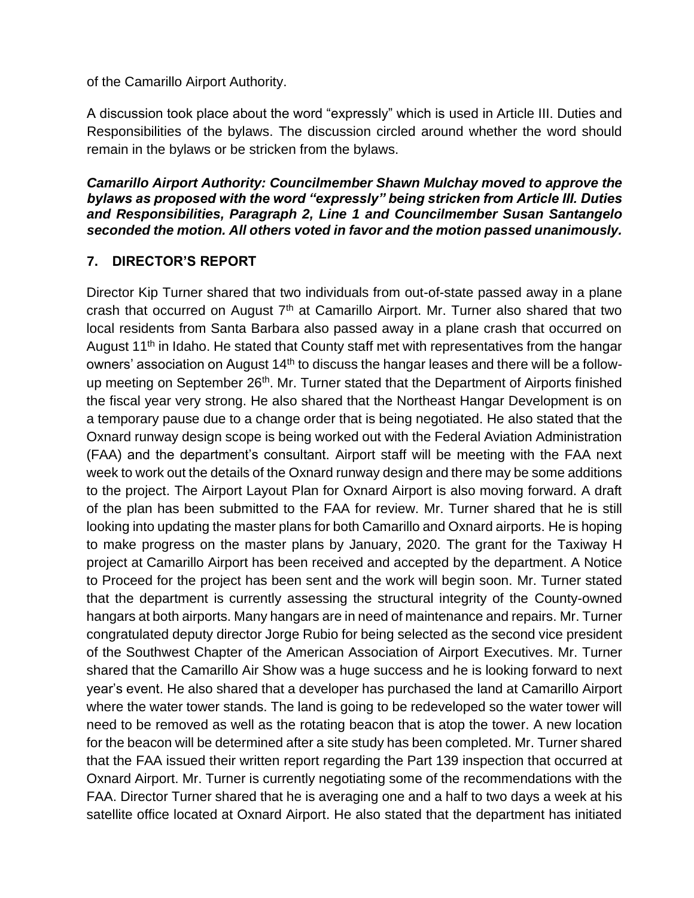of the Camarillo Airport Authority.

A discussion took place about the word "expressly" which is used in Article III. Duties and Responsibilities of the bylaws. The discussion circled around whether the word should remain in the bylaws or be stricken from the bylaws.

*Camarillo Airport Authority: Councilmember Shawn Mulchay moved to approve the bylaws as proposed with the word "expressly" being stricken from Article III. Duties and Responsibilities, Paragraph 2, Line 1 and Councilmember Susan Santangelo seconded the motion. All others voted in favor and the motion passed unanimously.*

# **7. DIRECTOR'S REPORT**

Director Kip Turner shared that two individuals from out-of-state passed away in a plane crash that occurred on August  $7<sup>th</sup>$  at Camarillo Airport. Mr. Turner also shared that two local residents from Santa Barbara also passed away in a plane crash that occurred on August 11<sup>th</sup> in Idaho. He stated that County staff met with representatives from the hangar owners' association on August 14<sup>th</sup> to discuss the hangar leases and there will be a followup meeting on September 26<sup>th</sup>. Mr. Turner stated that the Department of Airports finished the fiscal year very strong. He also shared that the Northeast Hangar Development is on a temporary pause due to a change order that is being negotiated. He also stated that the Oxnard runway design scope is being worked out with the Federal Aviation Administration (FAA) and the department's consultant. Airport staff will be meeting with the FAA next week to work out the details of the Oxnard runway design and there may be some additions to the project. The Airport Layout Plan for Oxnard Airport is also moving forward. A draft of the plan has been submitted to the FAA for review. Mr. Turner shared that he is still looking into updating the master plans for both Camarillo and Oxnard airports. He is hoping to make progress on the master plans by January, 2020. The grant for the Taxiway H project at Camarillo Airport has been received and accepted by the department. A Notice to Proceed for the project has been sent and the work will begin soon. Mr. Turner stated that the department is currently assessing the structural integrity of the County-owned hangars at both airports. Many hangars are in need of maintenance and repairs. Mr. Turner congratulated deputy director Jorge Rubio for being selected as the second vice president of the Southwest Chapter of the American Association of Airport Executives. Mr. Turner shared that the Camarillo Air Show was a huge success and he is looking forward to next year's event. He also shared that a developer has purchased the land at Camarillo Airport where the water tower stands. The land is going to be redeveloped so the water tower will need to be removed as well as the rotating beacon that is atop the tower. A new location for the beacon will be determined after a site study has been completed. Mr. Turner shared that the FAA issued their written report regarding the Part 139 inspection that occurred at Oxnard Airport. Mr. Turner is currently negotiating some of the recommendations with the FAA. Director Turner shared that he is averaging one and a half to two days a week at his satellite office located at Oxnard Airport. He also stated that the department has initiated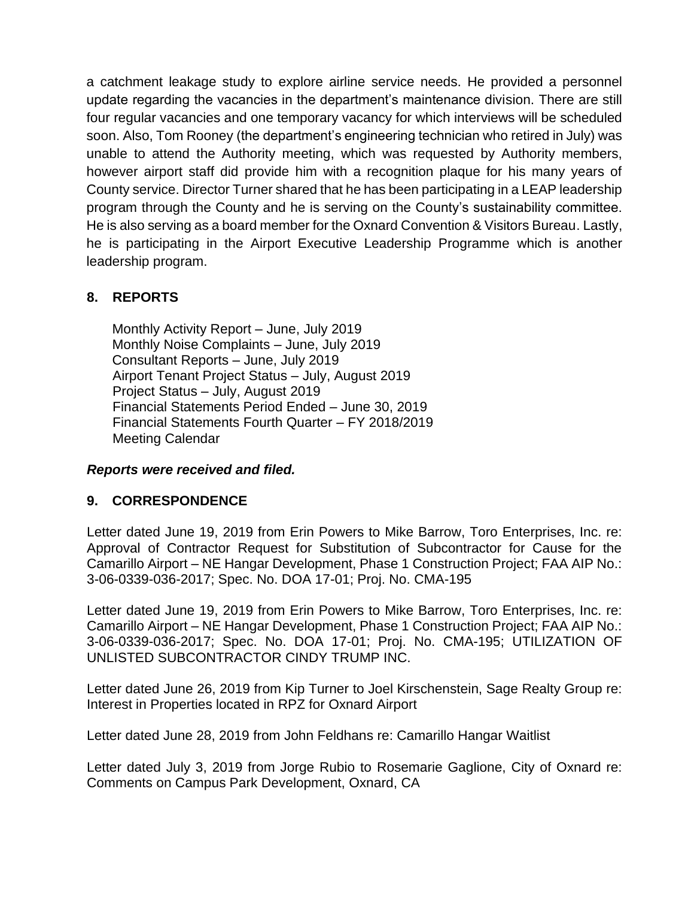a catchment leakage study to explore airline service needs. He provided a personnel update regarding the vacancies in the department's maintenance division. There are still four regular vacancies and one temporary vacancy for which interviews will be scheduled soon. Also, Tom Rooney (the department's engineering technician who retired in July) was unable to attend the Authority meeting, which was requested by Authority members, however airport staff did provide him with a recognition plaque for his many years of County service. Director Turner shared that he has been participating in a LEAP leadership program through the County and he is serving on the County's sustainability committee. He is also serving as a board member for the Oxnard Convention & Visitors Bureau. Lastly, he is participating in the Airport Executive Leadership Programme which is another leadership program.

# **8. REPORTS**

Monthly Activity Report – June, July 2019 Monthly Noise Complaints – June, July 2019 Consultant Reports – June, July 2019 Airport Tenant Project Status – July, August 2019 Project Status – July, August 2019 Financial Statements Period Ended – June 30, 2019 Financial Statements Fourth Quarter – FY 2018/2019 Meeting Calendar

# *Reports were received and filed.*

### **9. CORRESPONDENCE**

Letter dated June 19, 2019 from Erin Powers to Mike Barrow, Toro Enterprises, Inc. re: Approval of Contractor Request for Substitution of Subcontractor for Cause for the Camarillo Airport – NE Hangar Development, Phase 1 Construction Project; FAA AIP No.: 3-06-0339-036-2017; Spec. No. DOA 17-01; Proj. No. CMA-195

Letter dated June 19, 2019 from Erin Powers to Mike Barrow, Toro Enterprises, Inc. re: Camarillo Airport – NE Hangar Development, Phase 1 Construction Project; FAA AIP No.: 3-06-0339-036-2017; Spec. No. DOA 17-01; Proj. No. CMA-195; UTILIZATION OF UNLISTED SUBCONTRACTOR CINDY TRUMP INC.

Letter dated June 26, 2019 from Kip Turner to Joel Kirschenstein, Sage Realty Group re: Interest in Properties located in RPZ for Oxnard Airport

Letter dated June 28, 2019 from John Feldhans re: Camarillo Hangar Waitlist

Letter dated July 3, 2019 from Jorge Rubio to Rosemarie Gaglione, City of Oxnard re: Comments on Campus Park Development, Oxnard, CA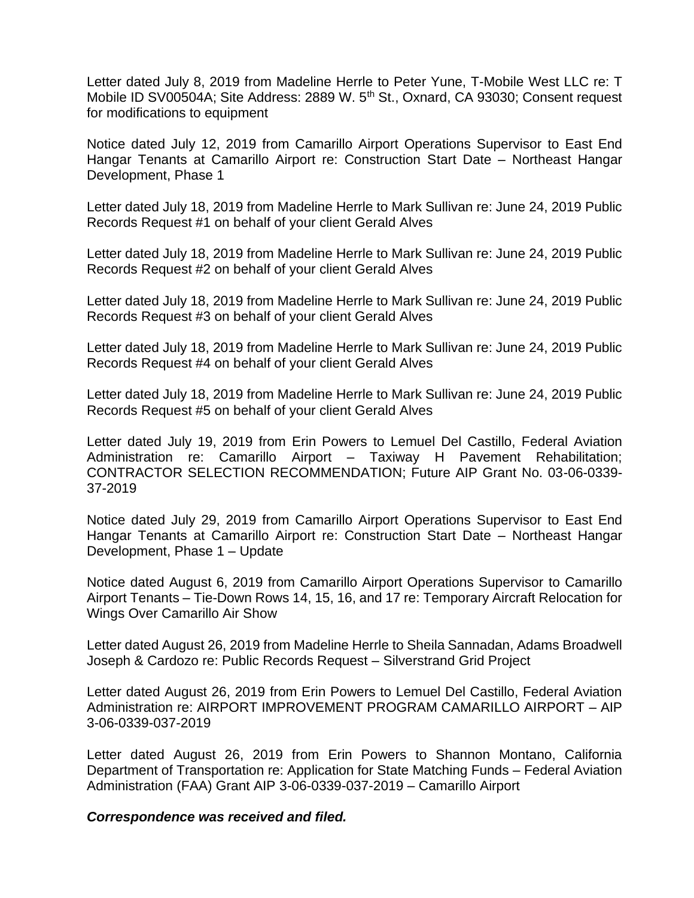Letter dated July 8, 2019 from Madeline Herrle to Peter Yune, T-Mobile West LLC re: T Mobile ID SV00504A; Site Address: 2889 W. 5<sup>th</sup> St., Oxnard, CA 93030; Consent request for modifications to equipment

Notice dated July 12, 2019 from Camarillo Airport Operations Supervisor to East End Hangar Tenants at Camarillo Airport re: Construction Start Date – Northeast Hangar Development, Phase 1

Letter dated July 18, 2019 from Madeline Herrle to Mark Sullivan re: June 24, 2019 Public Records Request #1 on behalf of your client Gerald Alves

Letter dated July 18, 2019 from Madeline Herrle to Mark Sullivan re: June 24, 2019 Public Records Request #2 on behalf of your client Gerald Alves

Letter dated July 18, 2019 from Madeline Herrle to Mark Sullivan re: June 24, 2019 Public Records Request #3 on behalf of your client Gerald Alves

Letter dated July 18, 2019 from Madeline Herrle to Mark Sullivan re: June 24, 2019 Public Records Request #4 on behalf of your client Gerald Alves

Letter dated July 18, 2019 from Madeline Herrle to Mark Sullivan re: June 24, 2019 Public Records Request #5 on behalf of your client Gerald Alves

Letter dated July 19, 2019 from Erin Powers to Lemuel Del Castillo, Federal Aviation Administration re: Camarillo Airport – Taxiway H Pavement Rehabilitation; CONTRACTOR SELECTION RECOMMENDATION; Future AIP Grant No. 03-06-0339- 37-2019

Notice dated July 29, 2019 from Camarillo Airport Operations Supervisor to East End Hangar Tenants at Camarillo Airport re: Construction Start Date – Northeast Hangar Development, Phase 1 – Update

Notice dated August 6, 2019 from Camarillo Airport Operations Supervisor to Camarillo Airport Tenants – Tie-Down Rows 14, 15, 16, and 17 re: Temporary Aircraft Relocation for Wings Over Camarillo Air Show

Letter dated August 26, 2019 from Madeline Herrle to Sheila Sannadan, Adams Broadwell Joseph & Cardozo re: Public Records Request – Silverstrand Grid Project

Letter dated August 26, 2019 from Erin Powers to Lemuel Del Castillo, Federal Aviation Administration re: AIRPORT IMPROVEMENT PROGRAM CAMARILLO AIRPORT – AIP 3-06-0339-037-2019

Letter dated August 26, 2019 from Erin Powers to Shannon Montano, California Department of Transportation re: Application for State Matching Funds – Federal Aviation Administration (FAA) Grant AIP 3-06-0339-037-2019 – Camarillo Airport

*Correspondence was received and filed.*